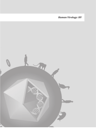*Human Virology: HV*

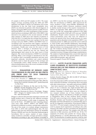October, 23 – 26, 2011 – Atibaia, São Paulo, Brazil

*Human Virology: HV* **167**

65 samples in 2010 and 425 samples in 2011. The major dengue serotype circulating during the 2006 and 2007 epidemics was DENV-3, which is an indication of its recent introduction in the city. Saint Louis encephalitis virus (SLEV) was detected in patients with clinical diagnosis of dengue. Among the DENV positive patients in 2008, 90 were infected by DENV-2, in a clear reemergence of this serotype, which has been circulating in SJRP since 1998. DENV-1 was detected in two patients in the second semester of 2008, other patients in 2009 and in the majority of patients in 2010 and 2011. It is likely that the serotype that circulates in the second semester of one year is going to be the main serotype next year. DENV-1, DENV-2 and DENV-3 have cocirculating in the city and these data suggest a dynamical circulation with a continuous emergence and reemergence of serotypes. Usually poor areas are the source of viral infection when a serotype is introduced but as years pass, the viruses spread all over the city. Clinical and epidemiological data cannot be the main source of final diagnosis. The recent introduction of DENV-4 is extremely alarming. When a new serotype is introduced in one site, it is going to find a susceptible population and may cause important outbreaks. Surveillance and control methods should be used to retain the spread of this serotype and to consequently avoid a likely increase in hemorrhagic clinical manifestations due to the recent circulation of other serotypes in the municipality.

# **HV212 - EVALUATION OF DENGUE CASES TRANSMISSION IN SÃO JOSÉ DO RIO PRETO (SP) FROM 2001 TO 2010 THROUGH EPIDEMIOLOGICAL DATA.**

 **Peres, M.B.2, Mondini, A.2,3, Sabino, G.F.1 , Nogueira, M.L.2**

- 1. Universidade Estadual Júlio de Mesquita Filho; IBILCE/ Unesp; Rua Cristóvão Colombo,2265 - Jardim Nazareth - S. J. Rio Preto
- 2. Faculdade de Medicina de São José do Rio Preto ; FAMERP; Avenida Brigadeiro Faria Lima, 5416 - Vila São Pedro - São José do Rio Preto /SP
- Institutos Nacionais de Ciência e Tecnologia Dengue; INCT - Dengue; Av. Antônio Carlos, 6627 CEP: 31270- 901 - Belo Horizonte MG

Dengue is a disease that generates important economic and health burdens and is caused by four different serotypes (DENV 1-4) that produce a wide range of symptoms. São José do Rio Preto – SP (SJRP) has been reporting dengue cases since 1990. DENV-1, DENV-2 and DENV-3 were introduced at different occasions, causing major epidemics. The aim of this study is to evaluate dengue transmission from 2001 to 2010 with epidemiological data. We have gathered data from the Information System for Notifiable Diseases (SINAN) and from the Municipal Epidemiological Surveillance Unit to assess: number of cases; dengue status; incidences; mortality; serotype prevalence; dengue distribution according to age; and incidence according to

sex. DENV-1 was the first serotype circulating in the city. After the introduction of DENV-2, SJRP experienced the worst incidence (1,903 cases/100,000 inhabitants) up until that moment (2001). However, incidences started to decline mostly because of the massive transmission of DENV-2. In September 2005, DENV-3 was introduced in a poor area of the city, causing high incidences in the 2006 and 2007 (respectively 2,962 and 2,339 cases per 100,000 inhabitants). Despite control measures were initiated at critical transmission areas, they were not sufficient to restrict the spread of the virus, mostly because of a naïve population and an abundant vector population. DENV-1 was reintroduced later in 2008 and caused the worst outbreak in 2010 (5,906 cases/100,000 inhabitants). Interestingly, after the introduction (or reintroduction) of serotypes, the highest incidence was among people with 15 to 19 years of age. The incidence among women and men were similar. Deaths caused by dengue were higher in 2010 (n=11) with a coincident increase in dengue hemorrhagic manifestations. The analysis of epidemiological data can provide important information on how the viral spread patterns will occur within different genders, ages and areas.

Financial support: Pronex; INCT-Dengue

### **HV213 - ACUTE FLACCID PARALYSIS (AFP) CASES EXAMINED AT INSTITUTO EVANDRO CHAGAS (IEC) IN THE PERIOD OF JANUARY/ 2008 TO JULY/ 2011.**

**Alves, J.C.S. , Alves, A.S., Galiza, E.P., Silveira, E., Wanzeller, A.L.M., Oliveira, D.S., Bezerra, N.T.V., Gomes, M.L.C., Castro, C.M.O., Silva, Z.F.G.**

Instituto Evandro Chagas; IEC; BR 316 KM 07 S/N Bairro Levilândia Ananindeua-Pará

Acute flaccid paralysis (AFP) caused by wild poliovirus have been eradicated worldwide, consequently, those associated with other enteroviruses - non-polio enteroviruses (NPEV) - have been reported more frequently. These viruses are about 27 nm in diameter, has single-stranded RNA and its transmission is preferably fecal-oral, affecting mainly children. Nowadays in Brasil these cases are studied in two research institute one of them Instituto Evandro Chagas (IEC), linked to the Ministry of Health and located in Ananindeua, State of Pará, northern Brasil. Samples from AFP cases occurring in Acre, Amapá, Amazonas, Pará, Rondônia, Roraima and Tocantins (Northern region) and Maranhão and Piauí (Northeast) are systematically sent to the IEC for diagnostic confirmation. From January/2008 to June/2011, 373 stool samples coming from that area, were used to prepare fecal suspensions according to the polio manual of the WHO, and then inoculated into RD (human) and L20B (animal) cell lines. The samples with CPE were subjected to RNA extraction and RT-PCR test. Of the 373 examined, 24 (6.4%) were positive for viruses, being 1 (4.2%) poliovirus 3, 1 (4.2%) adenovirus and 22 (91.6%) NPEV. The distribution of samples (positive/ total) by state

October 2011– Volume 16 – Supplement 1 - Abstracts/Posters - *Human Virology: HV*